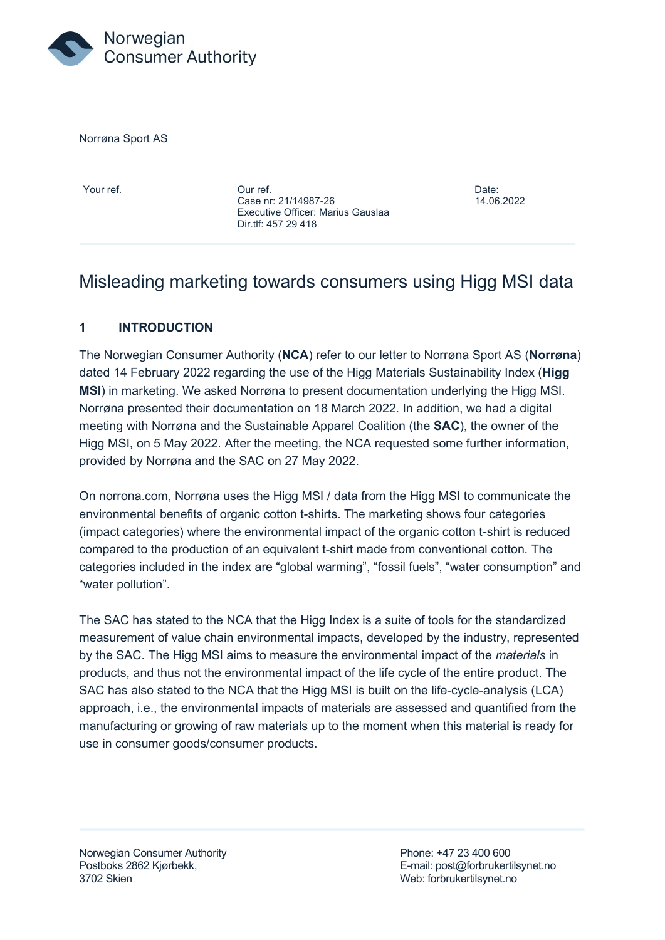

Norrøna Sport AS

Your ref. Our ref. Date: Case nr: 21/14987-26 14.06.2022 Executive Officer: Marius Gauslaa Dir.tlf: 457 29 418

# Misleading marketing towards consumers using Higg MSI data

# **1 INTRODUCTION**

The Norwegian Consumer Authority (**NCA**) refer to our letter to Norrøna Sport AS (**Norrøna**) dated 14 February 2022 regarding the use of the Higg Materials Sustainability Index (**Higg MSI**) in marketing. We asked Norrøna to present documentation underlying the Higg MSI. Norrøna presented their documentation on 18 March 2022. In addition, we had a digital meeting with Norrøna and the Sustainable Apparel Coalition (the **SAC**), the owner of the Higg MSI, on 5 May 2022. After the meeting, the NCA requested some further information, provided by Norrøna and the SAC on 27 May 2022.

On norrona.com, Norrøna uses the Higg MSI / data from the Higg MSI to communicate the environmental benefits of organic cotton t-shirts. The marketing shows four categories (impact categories) where the environmental impact of the organic cotton t-shirt is reduced compared to the production of an equivalent t-shirt made from conventional cotton. The categories included in the index are "global warming", "fossil fuels", "water consumption" and "water pollution".

The SAC has stated to the NCA that the Higg Index is a suite of tools for the standardized measurement of value chain environmental impacts, developed by the industry, represented by the SAC. The Higg MSI aims to measure the environmental impact of the *materials* in products, and thus not the environmental impact of the life cycle of the entire product. The SAC has also stated to the NCA that the Higg MSI is built on the life-cycle-analysis (LCA) approach, i.e., the environmental impacts of materials are assessed and quantified from the manufacturing or growing of raw materials up to the moment when this material is ready for use in consumer goods/consumer products.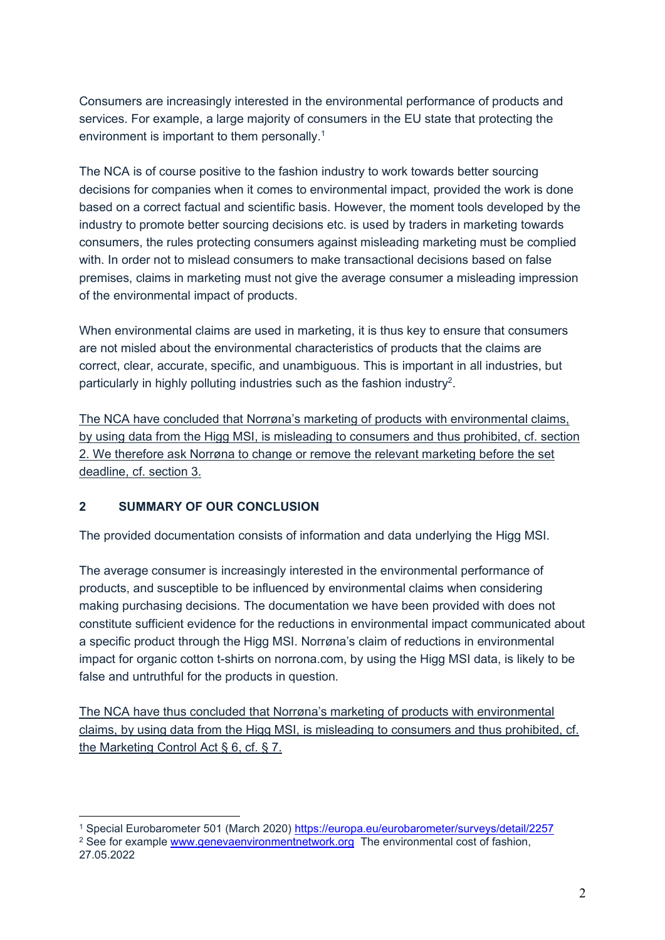Consumers are increasingly interested in the environmental performance of products and services. For example, a large majority of consumers in the EU state that protecting the environment is important to them personally.<sup>1</sup>

The NCA is of course positive to the fashion industry to work towards better sourcing decisions for companies when it comes to environmental impact, provided the work is done based on a correct factual and scientific basis. However, the moment tools developed by the industry to promote better sourcing decisions etc. is used by traders in marketing towards consumers, the rules protecting consumers against misleading marketing must be complied with. In order not to mislead consumers to make transactional decisions based on false premises, claims in marketing must not give the average consumer a misleading impression of the environmental impact of products.

When environmental claims are used in marketing, it is thus key to ensure that consumers are not misled about the environmental characteristics of products that the claims are correct, clear, accurate, specific, and unambiguous. This is important in all industries, but particularly in highly polluting industries such as the fashion industry $^2$ .

The NCA have concluded that Norrøna's marketing of products with environmental claims, by using data from the Higg MSI, is misleading to consumers and thus prohibited, cf. section 2. We therefore ask Norrøna to change or remove the relevant marketing before the set deadline, cf. section 3.

### **2 SUMMARY OF OUR CONCLUSION**

The provided documentation consists of information and data underlying the Higg MSI.

The average consumer is increasingly interested in the environmental performance of products, and susceptible to be influenced by environmental claims when considering making purchasing decisions. The documentation we have been provided with does not constitute sufficient evidence for the reductions in environmental impact communicated about a specific product through the Higg MSI. Norrøna's claim of reductions in environmental impact for organic cotton t-shirts on norrona.com, by using the Higg MSI data, is likely to be false and untruthful for the products in question.

The NCA have thus concluded that Norrøna's marketing of products with environmental claims, by using data from the Higg MSI, is misleading to consumers and thus prohibited, cf. the Marketing Control Act § 6, cf. § 7.

<sup>&</sup>lt;sup>1</sup> Special Eurobarometer 501 (March 2020)<https://europa.eu/eurobarometer/surveys/detail/2257> <sup>2</sup> See for example [www.genevaenvironmentnetwork.org](http://www.genevaenvironmentnetwork.org/) The environmental cost of fashion, 27.05.2022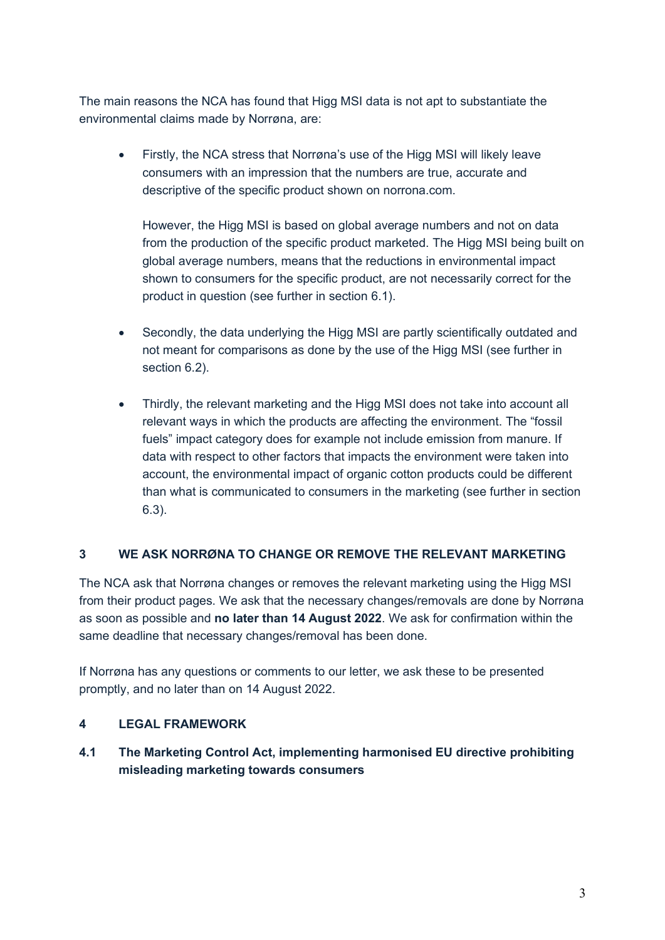The main reasons the NCA has found that Higg MSI data is not apt to substantiate the environmental claims made by Norrøna, are:

• Firstly, the NCA stress that Norrøna's use of the Higg MSI will likely leave consumers with an impression that the numbers are true, accurate and descriptive of the specific product shown on norrona.com.

However, the Higg MSI is based on global average numbers and not on data from the production of the specific product marketed. The Higg MSI being built on global average numbers, means that the reductions in environmental impact shown to consumers for the specific product, are not necessarily correct for the product in question (see further in section 6.1).

- Secondly, the data underlying the Higg MSI are partly scientifically outdated and not meant for comparisons as done by the use of the Higg MSI (see further in section 6.2).
- Thirdly, the relevant marketing and the Higg MSI does not take into account all relevant ways in which the products are affecting the environment. The "fossil fuels" impact category does for example not include emission from manure. If data with respect to other factors that impacts the environment were taken into account, the environmental impact of organic cotton products could be different than what is communicated to consumers in the marketing (see further in section 6.3).

# **3 WE ASK NORRØNA TO CHANGE OR REMOVE THE RELEVANT MARKETING**

The NCA ask that Norrøna changes or removes the relevant marketing using the Higg MSI from their product pages. We ask that the necessary changes/removals are done by Norrøna as soon as possible and **no later than 14 August 2022**. We ask for confirmation within the same deadline that necessary changes/removal has been done.

If Norrøna has any questions or comments to our letter, we ask these to be presented promptly, and no later than on 14 August 2022.

# **4 LEGAL FRAMEWORK**

# **4.1 The Marketing Control Act, implementing harmonised EU directive prohibiting misleading marketing towards consumers**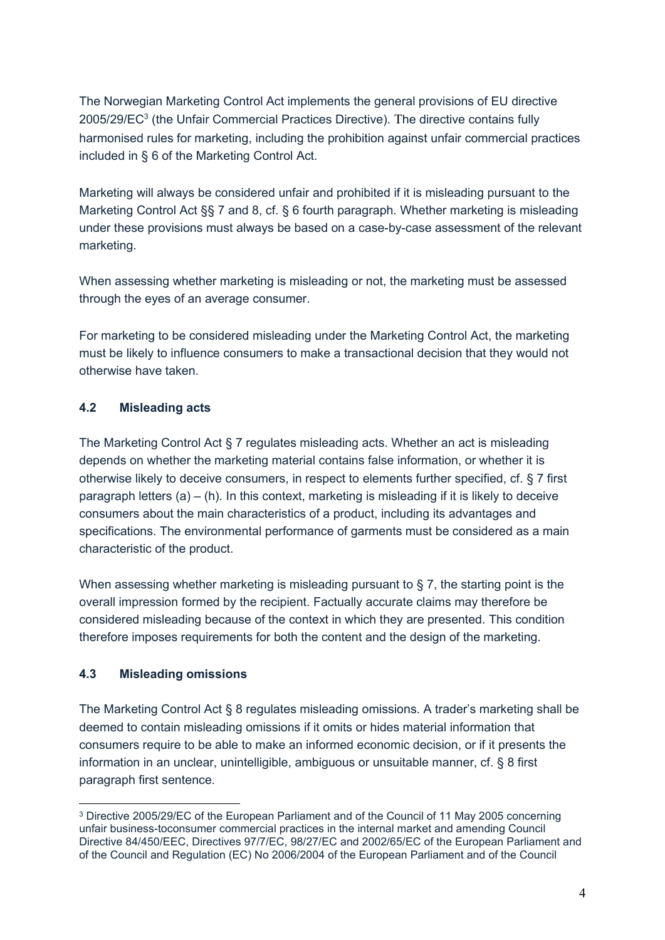The Norwegian Marketing Control Act implements the general provisions of EU directive 2005/29/EC $^{\rm 3}$  (the Unfair Commercial Practices Directive). The directive contains fully harmonised rules for marketing, including the prohibition against unfair commercial practices included in § 6 of the Marketing Control Act.

Marketing will always be considered unfair and prohibited if it is misleading pursuant to the Marketing Control Act §§ 7 and 8, cf. § 6 fourth paragraph. Whether marketing is misleading under these provisions must always be based on a case-by-case assessment of the relevant marketing.

When assessing whether marketing is misleading or not, the marketing must be assessed through the eyes of an average consumer.

For marketing to be considered misleading under the Marketing Control Act, the marketing must be likely to influence consumers to make a transactional decision that they would not otherwise have taken.

# **4.2 Misleading acts**

The Marketing Control Act § 7 regulates misleading acts. Whether an act is misleading depends on whether the marketing material contains false information, or whether it is otherwise likely to deceive consumers, in respect to elements further specified, cf. § 7 first paragraph letters  $(a) - (h)$ . In this context, marketing is misleading if it is likely to deceive consumers about the main characteristics of a product, including its advantages and specifications. The environmental performance of garments must be considered as a main characteristic of the product.

When assessing whether marketing is misleading pursuant to  $\S$  7, the starting point is the overall impression formed by the recipient. Factually accurate claims may therefore be considered misleading because of the context in which they are presented. This condition therefore imposes requirements for both the content and the design of the marketing.

# **4.3 Misleading omissions**

The Marketing Control Act § 8 regulates misleading omissions. A trader's marketing shall be deemed to contain misleading omissions if it omits or hides material information that consumers require to be able to make an informed economic decision, or if it presents the information in an unclear, unintelligible, ambiguous or unsuitable manner, cf. § 8 first paragraph first sentence.

<sup>3</sup> Directive 2005/29/EC of the European Parliament and of the Council of 11 May 2005 concerning unfair business-toconsumer commercial practices in the internal market and amending Council Directive 84/450/EEC, Directives 97/7/EC, 98/27/EC and 2002/65/EC of the European Parliament and of the Council and Regulation (EC) No 2006/2004 of the European Parliament and of the Council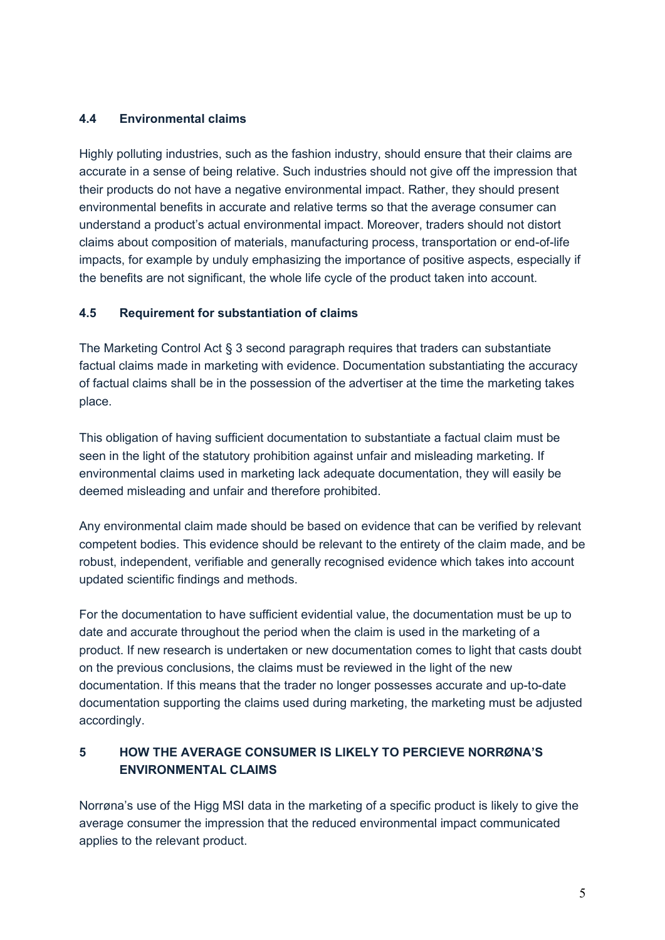### **4.4 Environmental claims**

Highly polluting industries, such as the fashion industry, should ensure that their claims are accurate in a sense of being relative. Such industries should not give off the impression that their products do not have a negative environmental impact. Rather, they should present environmental benefits in accurate and relative terms so that the average consumer can understand a product's actual environmental impact. Moreover, traders should not distort claims about composition of materials, manufacturing process, transportation or end-of-life impacts, for example by unduly emphasizing the importance of positive aspects, especially if the benefits are not significant, the whole life cycle of the product taken into account.

### **4.5 Requirement for substantiation of claims**

The Marketing Control Act § 3 second paragraph requires that traders can substantiate factual claims made in marketing with evidence. Documentation substantiating the accuracy of factual claims shall be in the possession of the advertiser at the time the marketing takes place.

This obligation of having sufficient documentation to substantiate a factual claim must be seen in the light of the statutory prohibition against unfair and misleading marketing. If environmental claims used in marketing lack adequate documentation, they will easily be deemed misleading and unfair and therefore prohibited.

Any environmental claim made should be based on evidence that can be verified by relevant competent bodies. This evidence should be relevant to the entirety of the claim made, and be robust, independent, verifiable and generally recognised evidence which takes into account updated scientific findings and methods.

For the documentation to have sufficient evidential value, the documentation must be up to date and accurate throughout the period when the claim is used in the marketing of a product. If new research is undertaken or new documentation comes to light that casts doubt on the previous conclusions, the claims must be reviewed in the light of the new documentation. If this means that the trader no longer possesses accurate and up-to-date documentation supporting the claims used during marketing, the marketing must be adjusted accordingly.

# **5 HOW THE AVERAGE CONSUMER IS LIKELY TO PERCIEVE NORRØNA'S ENVIRONMENTAL CLAIMS**

Norrøna's use of the Higg MSI data in the marketing of a specific product is likely to give the average consumer the impression that the reduced environmental impact communicated applies to the relevant product.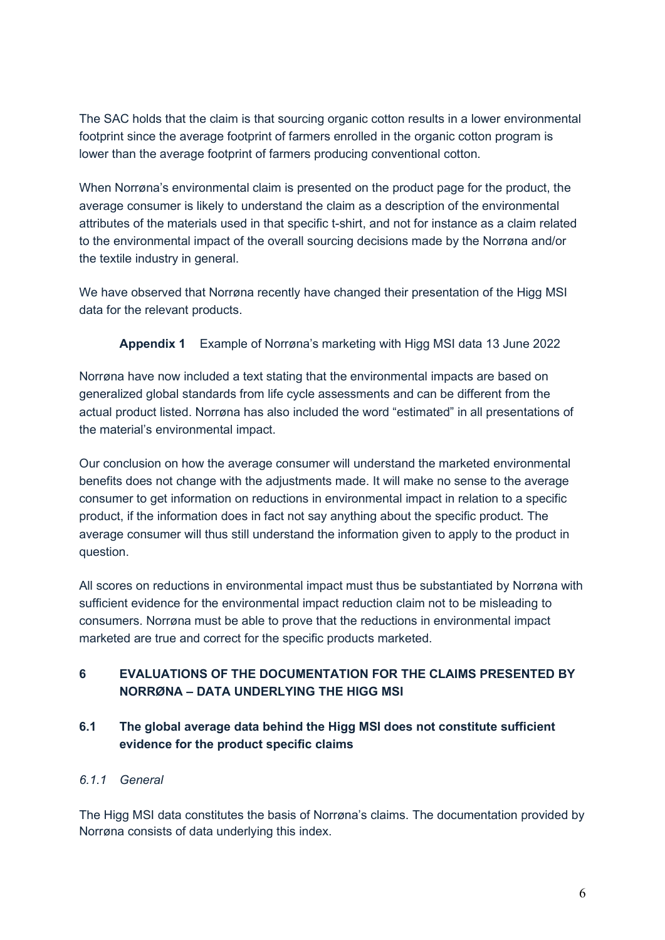The SAC holds that the claim is that sourcing organic cotton results in a lower environmental footprint since the average footprint of farmers enrolled in the organic cotton program is lower than the average footprint of farmers producing conventional cotton.

When Norrøna's environmental claim is presented on the product page for the product, the average consumer is likely to understand the claim as a description of the environmental attributes of the materials used in that specific t-shirt, and not for instance as a claim related to the environmental impact of the overall sourcing decisions made by the Norrøna and/or the textile industry in general.

We have observed that Norrøna recently have changed their presentation of the Higg MSI data for the relevant products.

**Appendix 1** Example of Norrøna's marketing with Higg MSI data 13 June 2022

Norrøna have now included a text stating that the environmental impacts are based on generalized global standards from life cycle assessments and can be different from the actual product listed. Norrøna has also included the word "estimated" in all presentations of the material's environmental impact.

Our conclusion on how the average consumer will understand the marketed environmental benefits does not change with the adjustments made. It will make no sense to the average consumer to get information on reductions in environmental impact in relation to a specific product, if the information does in fact not say anything about the specific product. The average consumer will thus still understand the information given to apply to the product in question.

All scores on reductions in environmental impact must thus be substantiated by Norrøna with sufficient evidence for the environmental impact reduction claim not to be misleading to consumers. Norrøna must be able to prove that the reductions in environmental impact marketed are true and correct for the specific products marketed.

# **6 EVALUATIONS OF THE DOCUMENTATION FOR THE CLAIMS PRESENTED BY NORRØNA – DATA UNDERLYING THE HIGG MSI**

# **6.1 The global average data behind the Higg MSI does not constitute sufficient evidence for the product specific claims**

# *6.1.1 General*

The Higg MSI data constitutes the basis of Norrøna's claims. The documentation provided by Norrøna consists of data underlying this index.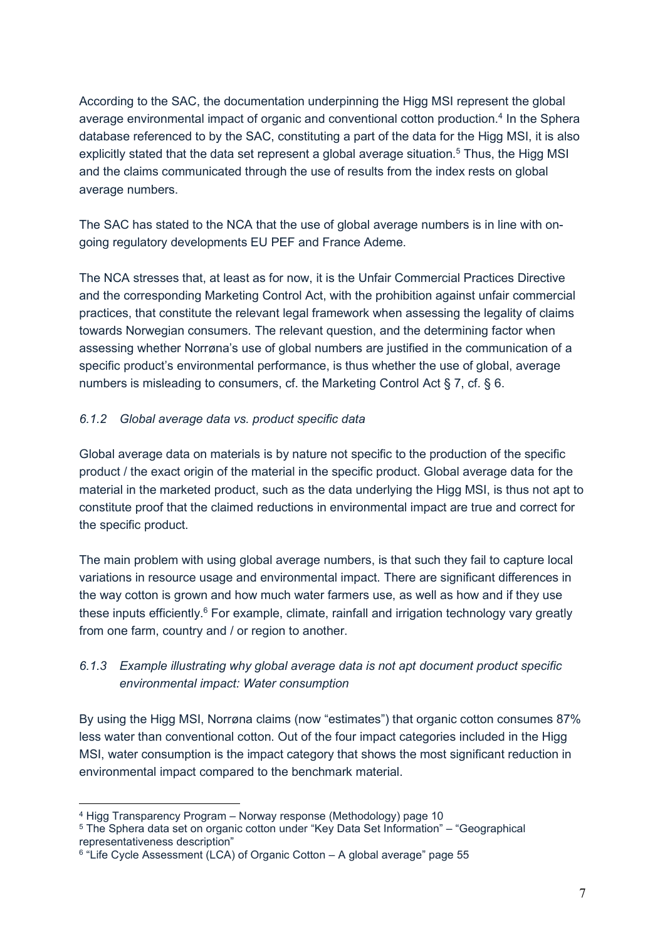According to the SAC, the documentation underpinning the Higg MSI represent the global average environmental impact of organic and conventional cotton production.<sup>4</sup> In the Sphera database referenced to by the SAC, constituting a part of the data for the Higg MSI, it is also explicitly stated that the data set represent a global average situation.<sup>5</sup> Thus, the Higg MSI and the claims communicated through the use of results from the index rests on global average numbers.

The SAC has stated to the NCA that the use of global average numbers is in line with ongoing regulatory developments EU PEF and France Ademe.

The NCA stresses that, at least as for now, it is the Unfair Commercial Practices Directive and the corresponding Marketing Control Act, with the prohibition against unfair commercial practices, that constitute the relevant legal framework when assessing the legality of claims towards Norwegian consumers. The relevant question, and the determining factor when assessing whether Norrøna's use of global numbers are justified in the communication of a specific product's environmental performance, is thus whether the use of global, average numbers is misleading to consumers, cf. the Marketing Control Act § 7, cf. § 6.

### *6.1.2 Global average data vs. product specific data*

Global average data on materials is by nature not specific to the production of the specific product / the exact origin of the material in the specific product. Global average data for the material in the marketed product, such as the data underlying the Higg MSI, is thus not apt to constitute proof that the claimed reductions in environmental impact are true and correct for the specific product.

The main problem with using global average numbers, is that such they fail to capture local variations in resource usage and environmental impact. There are significant differences in the way cotton is grown and how much water farmers use, as well as how and if they use these inputs efficiently.<sup>6</sup> For example, climate, rainfall and irrigation technology vary greatly from one farm, country and / or region to another.

# *6.1.3 Example illustrating why global average data is not apt document product specific environmental impact: Water consumption*

By using the Higg MSI, Norrøna claims (now "estimates") that organic cotton consumes 87% less water than conventional cotton. Out of the four impact categories included in the Higg MSI, water consumption is the impact category that shows the most significant reduction in environmental impact compared to the benchmark material.

<sup>4</sup> Higg Transparency Program – Norway response (Methodology) page 10

<sup>5</sup> The Sphera data set on organic cotton under "Key Data Set Information" – "Geographical representativeness description"

<sup>6</sup> "Life Cycle Assessment (LCA) of Organic Cotton – A global average" page 55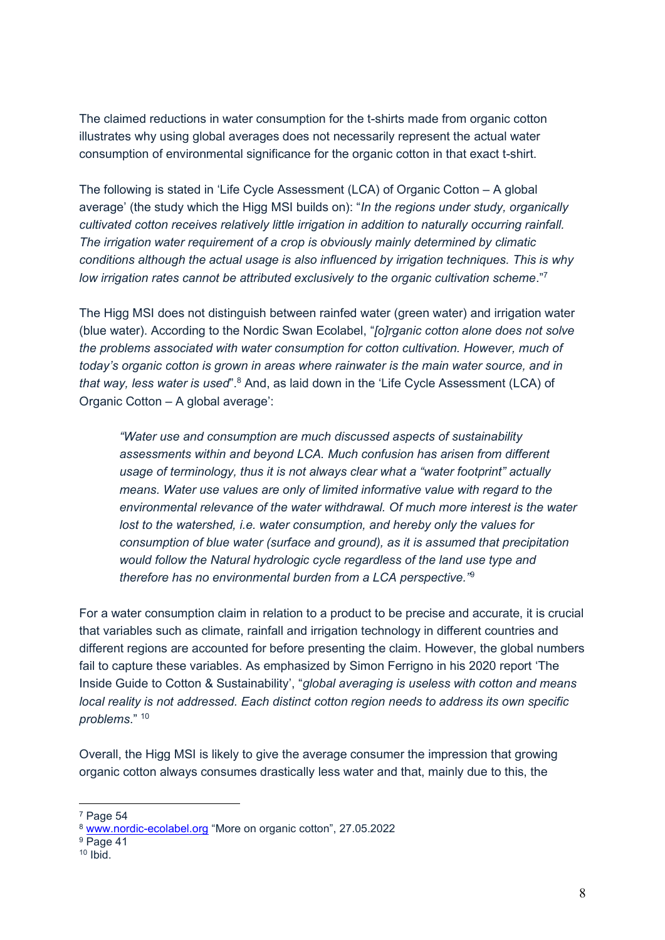The claimed reductions in water consumption for the t-shirts made from organic cotton illustrates why using global averages does not necessarily represent the actual water consumption of environmental significance for the organic cotton in that exact t-shirt.

The following is stated in 'Life Cycle Assessment (LCA) of Organic Cotton – A global average' (the study which the Higg MSI builds on): "*In the regions under study, organically cultivated cotton receives relatively little irrigation in addition to naturally occurring rainfall. The irrigation water requirement of a crop is obviously mainly determined by climatic conditions although the actual usage is also influenced by irrigation techniques. This is why low irrigation rates cannot be attributed exclusively to the organic cultivation scheme*."<sup>7</sup>

The Higg MSI does not distinguish between rainfed water (green water) and irrigation water (blue water). According to the Nordic Swan Ecolabel, "*[o]rganic cotton alone does not solve the problems associated with water consumption for cotton cultivation. However, much of today's organic cotton is grown in areas where rainwater is the main water source, and in that way, less water is used*".<sup>8</sup> And, as laid down in the 'Life Cycle Assessment (LCA) of Organic Cotton – A global average':

*"Water use and consumption are much discussed aspects of sustainability assessments within and beyond LCA. Much confusion has arisen from different usage of terminology, thus it is not always clear what a "water footprint" actually means. Water use values are only of limited informative value with regard to the environmental relevance of the water withdrawal. Of much more interest is the water lost to the watershed, i.e. water consumption, and hereby only the values for consumption of blue water (surface and ground), as it is assumed that precipitation would follow the Natural hydrologic cycle regardless of the land use type and therefore has no environmental burden from a LCA perspective."*<sup>9</sup>

For a water consumption claim in relation to a product to be precise and accurate, it is crucial that variables such as climate, rainfall and irrigation technology in different countries and different regions are accounted for before presenting the claim. However, the global numbers fail to capture these variables. As emphasized by Simon Ferrigno in his 2020 report 'The Inside Guide to Cotton & Sustainability', "*global averaging is useless with cotton and means local reality is not addressed. Each distinct cotton region needs to address its own specific problems*." <sup>10</sup>

Overall, the Higg MSI is likely to give the average consumer the impression that growing organic cotton always consumes drastically less water and that, mainly due to this, the

<sup>7</sup> Page 54

<sup>8</sup> [www.nordic-ecolabel.org](https://www.nordic-ecolabel.org/nordic-swan-ecolabel/environmental-aspects/sustainable-raw-materials-and-biodiversity/organic-farming/) "More on organic cotton", 27.05.2022

<sup>&</sup>lt;sup>9</sup> Page 41

<sup>10</sup> Ibid.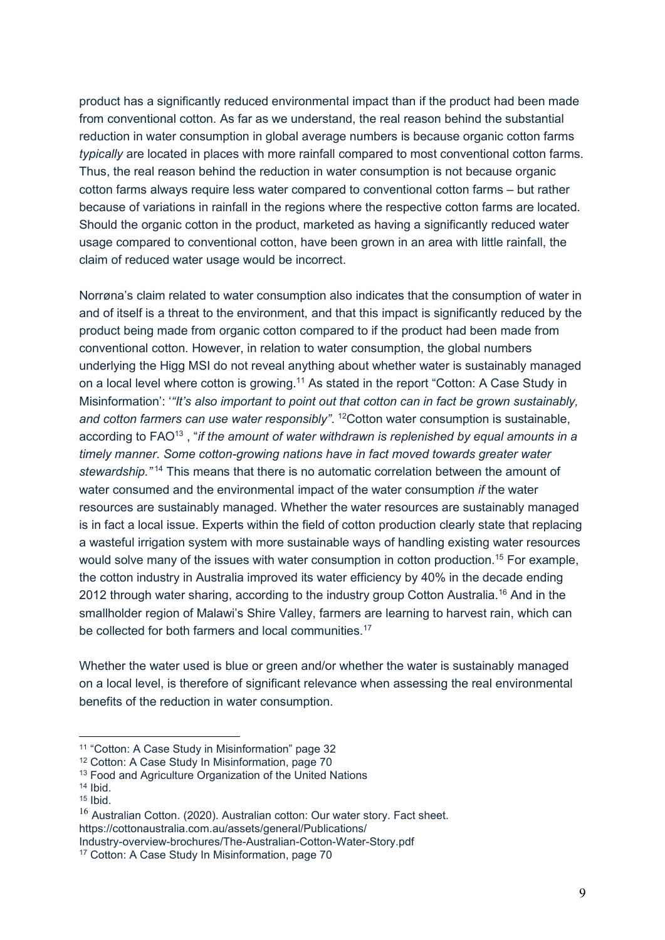product has a significantly reduced environmental impact than if the product had been made from conventional cotton. As far as we understand, the real reason behind the substantial reduction in water consumption in global average numbers is because organic cotton farms *typically* are located in places with more rainfall compared to most conventional cotton farms. Thus, the real reason behind the reduction in water consumption is not because organic cotton farms always require less water compared to conventional cotton farms – but rather because of variations in rainfall in the regions where the respective cotton farms are located. Should the organic cotton in the product, marketed as having a significantly reduced water usage compared to conventional cotton, have been grown in an area with little rainfall, the claim of reduced water usage would be incorrect.

Norrøna's claim related to water consumption also indicates that the consumption of water in and of itself is a threat to the environment, and that this impact is significantly reduced by the product being made from organic cotton compared to if the product had been made from conventional cotton. However, in relation to water consumption, the global numbers underlying the Higg MSI do not reveal anything about whether water is sustainably managed on a local level where cotton is growing.<sup>11</sup> As stated in the report "Cotton: A Case Study in Misinformation': '*"It's also important to point out that cotton can in fact be grown sustainably,*  and cotton farmers can use water responsibly". <sup>12</sup>Cotton water consumption is sustainable, according to FAO<sup>13</sup>, "*if the amount of water withdrawn is replenished by equal amounts in a timely manner*. *Some cotton-growing nations have in fact moved towards greater water stewardship."* <sup>14</sup> This means that there is no automatic correlation between the amount of water consumed and the environmental impact of the water consumption *if* the water resources are sustainably managed. Whether the water resources are sustainably managed is in fact a local issue. Experts within the field of cotton production clearly state that replacing a wasteful irrigation system with more sustainable ways of handling existing water resources would solve many of the issues with water consumption in cotton production.<sup>15</sup> For example, the cotton industry in Australia improved its water efficiency by 40% in the decade ending 2012 through water sharing, according to the industry group Cotton Australia.<sup>16</sup> And in the smallholder region of Malawi's Shire Valley, farmers are learning to harvest rain, which can be collected for both farmers and local communities.<sup>17</sup>

Whether the water used is blue or green and/or whether the water is sustainably managed on a local level, is therefore of significant relevance when assessing the real environmental benefits of the reduction in water consumption.

<sup>11</sup> "Cotton: A Case Study in Misinformation" page 32

<sup>12</sup> Cotton: A Case Study In Misinformation, page 70

<sup>&</sup>lt;sup>13</sup> Food and Agriculture Organization of the United Nations

 $14$  Ibid.

 $15$  Ibid.

<sup>&</sup>lt;sup>16</sup> Australian Cotton. (2020). Australian cotton: Our water story. Fact sheet. https://cottonaustralia.com.au/assets/general/Publications/

Industry-overview-brochures/The-Australian-Cotton-Water-Story.pdf

<sup>17</sup> Cotton: A Case Study In Misinformation, page 70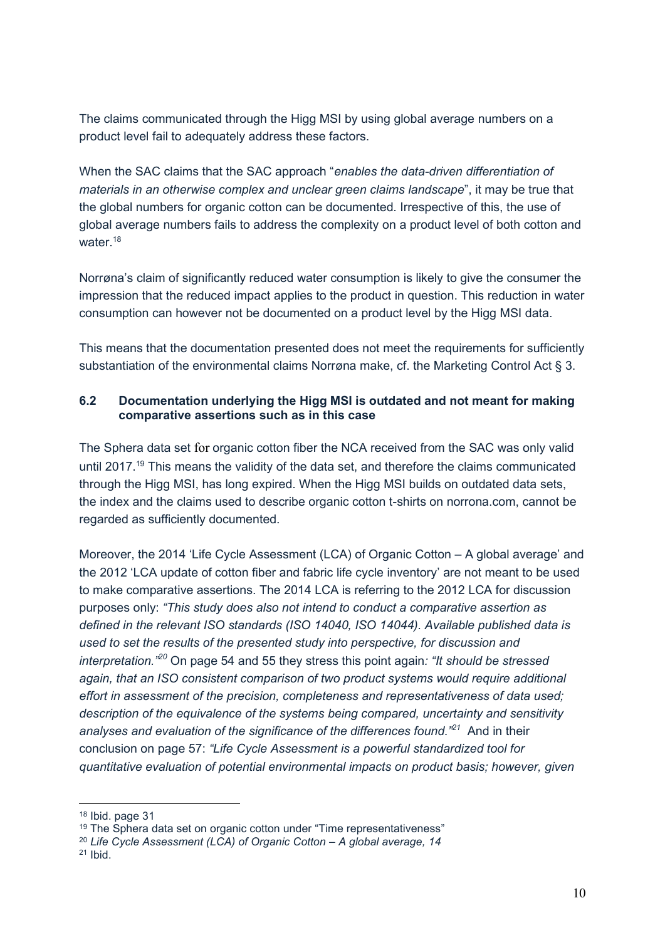The claims communicated through the Higg MSI by using global average numbers on a product level fail to adequately address these factors.

When the SAC claims that the SAC approach "*enables the data-driven differentiation of materials in an otherwise complex and unclear green claims landscape*", it may be true that the global numbers for organic cotton can be documented. Irrespective of this, the use of global average numbers fails to address the complexity on a product level of both cotton and water.<sup>18</sup>

Norrøna's claim of significantly reduced water consumption is likely to give the consumer the impression that the reduced impact applies to the product in question. This reduction in water consumption can however not be documented on a product level by the Higg MSI data.

This means that the documentation presented does not meet the requirements for sufficiently substantiation of the environmental claims Norrøna make, cf. the Marketing Control Act § 3.

### **6.2 Documentation underlying the Higg MSI is outdated and not meant for making comparative assertions such as in this case**

The Sphera data set for organic cotton fiber the NCA received from the SAC was only valid until 2017.<sup>19</sup> This means the validity of the data set, and therefore the claims communicated through the Higg MSI, has long expired. When the Higg MSI builds on outdated data sets, the index and the claims used to describe organic cotton t-shirts on norrona.com, cannot be regarded as sufficiently documented.

Moreover, the 2014 'Life Cycle Assessment (LCA) of Organic Cotton – A global average' and the 2012 'LCA update of cotton fiber and fabric life cycle inventory' are not meant to be used to make comparative assertions. The 2014 LCA is referring to the 2012 LCA for discussion purposes only: *"This study does also not intend to conduct a comparative assertion as defined in the relevant ISO standards (ISO 14040, ISO 14044). Available published data is used to set the results of the presented study into perspective, for discussion and interpretation."<sup>20</sup>* On page 54 and 55 they stress this point again*: "It should be stressed again, that an ISO consistent comparison of two product systems would require additional effort in assessment of the precision, completeness and representativeness of data used; description of the equivalence of the systems being compared, uncertainty and sensitivity analyses and evaluation of the significance of the differences found."<sup>21</sup>* And in their conclusion on page 57: *"Life Cycle Assessment is a powerful standardized tool for quantitative evaluation of potential environmental impacts on product basis; however, given* 

<sup>18</sup> Ibid. page 31

<sup>&</sup>lt;sup>19</sup> [The](http://gabi-documentation-2022.gabi-software.com/xml-data/processes/99f8544b-0b62-457a-b246-e1b071bf6cd1.xml) Sphera data set on organic cotton under "Time representativeness"

<sup>&</sup>lt;sup>20</sup> Life Cycle Assessment (LCA) of Organic Cotton - A global average, 14

<sup>21</sup> Ibid.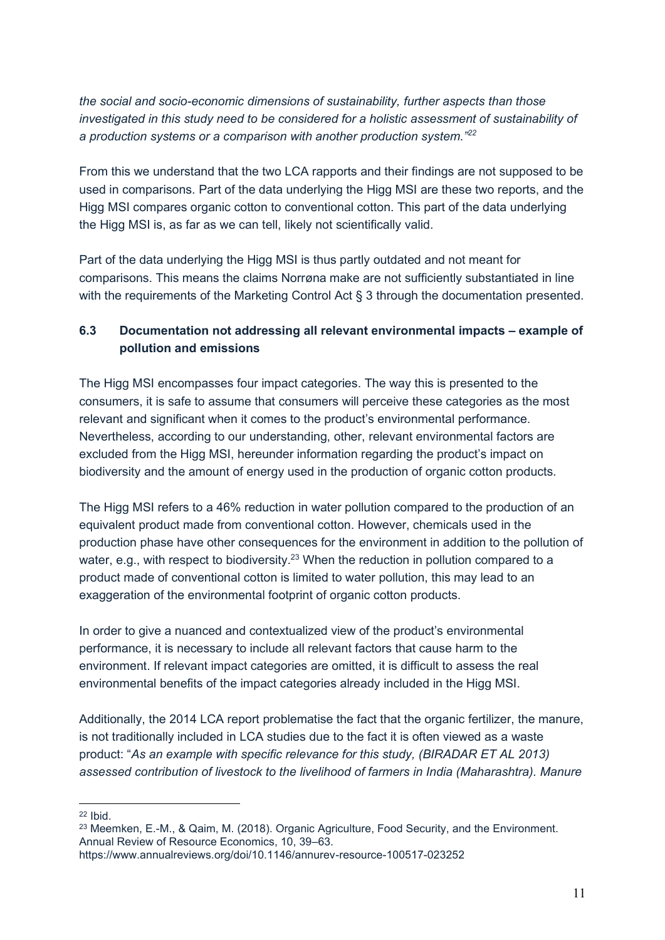*the social and socio-economic dimensions of sustainability, further aspects than those investigated in this study need to be considered for a holistic assessment of sustainability of a production systems or a comparison with another production system."<sup>22</sup>*

From this we understand that the two LCA rapports and their findings are not supposed to be used in comparisons. Part of the data underlying the Higg MSI are these two reports, and the Higg MSI compares organic cotton to conventional cotton. This part of the data underlying the Higg MSI is, as far as we can tell, likely not scientifically valid.

Part of the data underlying the Higg MSI is thus partly outdated and not meant for comparisons. This means the claims Norrøna make are not sufficiently substantiated in line with the requirements of the Marketing Control Act § 3 through the documentation presented.

# **6.3 Documentation not addressing all relevant environmental impacts – example of pollution and emissions**

The Higg MSI encompasses four impact categories. The way this is presented to the consumers, it is safe to assume that consumers will perceive these categories as the most relevant and significant when it comes to the product's environmental performance. Nevertheless, according to our understanding, other, relevant environmental factors are excluded from the Higg MSI, hereunder information regarding the product's impact on biodiversity and the amount of energy used in the production of organic cotton products.

The Higg MSI refers to a 46% reduction in water pollution compared to the production of an equivalent product made from conventional cotton. However, chemicals used in the production phase have other consequences for the environment in addition to the pollution of water, e.g., with respect to biodiversity.<sup>23</sup> When the reduction in pollution compared to a product made of conventional cotton is limited to water pollution, this may lead to an exaggeration of the environmental footprint of organic cotton products.

In order to give a nuanced and contextualized view of the product's environmental performance, it is necessary to include all relevant factors that cause harm to the environment. If relevant impact categories are omitted, it is difficult to assess the real environmental benefits of the impact categories already included in the Higg MSI.

Additionally, the 2014 LCA report problematise the fact that the organic fertilizer, the manure, is not traditionally included in LCA studies due to the fact it is often viewed as a waste product: "*As an example with specific relevance for this study, (BIRADAR ET AL 2013) assessed contribution of livestock to the livelihood of farmers in India (Maharashtra). Manure* 

<sup>22</sup> Ibid.

<sup>23</sup> Meemken, E.-M., & Qaim, M. (2018). Organic Agriculture, Food Security, and the Environment. Annual Review of Resource Economics, 10, 39–63.

https://www.annualreviews.org/doi/10.1146/annurev-resource-100517-023252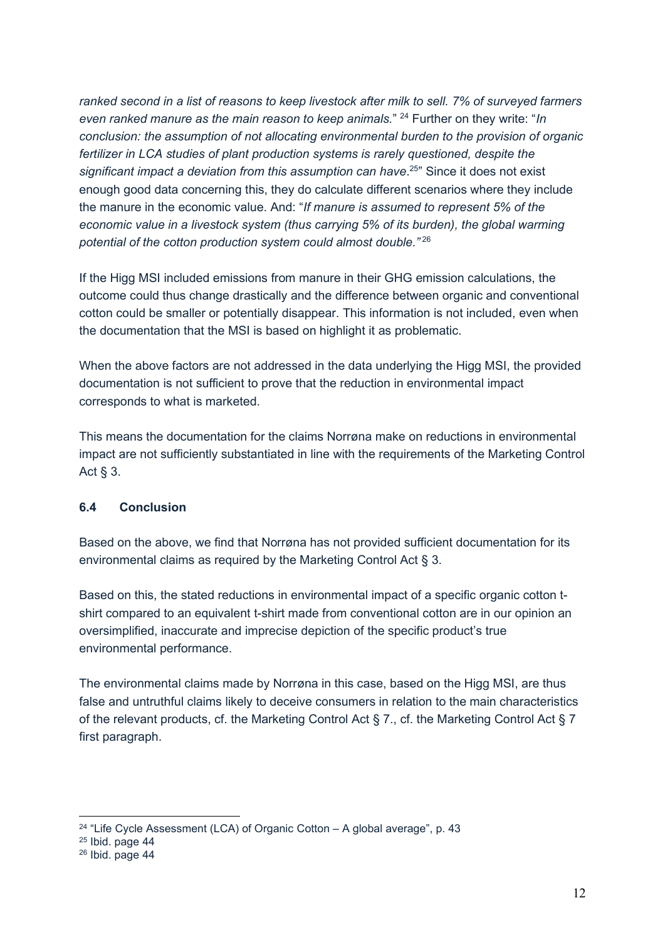*ranked second in a list of reasons to keep livestock after milk to sell. 7% of surveyed farmers even ranked manure as the main reason to keep animals.*" <sup>24</sup> Further on they write: "*In conclusion: the assumption of not allocating environmental burden to the provision of organic fertilizer in LCA studies of plant production systems is rarely questioned, despite the significant impact a deviation from this assumption can have*. <sup>25</sup>" Since it does not exist enough good data concerning this, they do calculate different scenarios where they include the manure in the economic value. And: "*If manure is assumed to represent 5% of the economic value in a livestock system (thus carrying 5% of its burden), the global warming potential of the cotton production system could almost double."* <sup>26</sup>

If the Higg MSI included emissions from manure in their GHG emission calculations, the outcome could thus change drastically and the difference between organic and conventional cotton could be smaller or potentially disappear. This information is not included, even when the documentation that the MSI is based on highlight it as problematic.

When the above factors are not addressed in the data underlying the Higg MSI, the provided documentation is not sufficient to prove that the reduction in environmental impact corresponds to what is marketed.

This means the documentation for the claims Norrøna make on reductions in environmental impact are not sufficiently substantiated in line with the requirements of the Marketing Control Act § 3.

### **6.4 Conclusion**

Based on the above, we find that Norrøna has not provided sufficient documentation for its environmental claims as required by the Marketing Control Act § 3.

Based on this, the stated reductions in environmental impact of a specific organic cotton tshirt compared to an equivalent t-shirt made from conventional cotton are in our opinion an oversimplified, inaccurate and imprecise depiction of the specific product's true environmental performance.

The environmental claims made by Norrøna in this case, based on the Higg MSI, are thus false and untruthful claims likely to deceive consumers in relation to the main characteristics of the relevant products, cf. the Marketing Control Act § 7., cf. the Marketing Control Act § 7 first paragraph.

<sup>&</sup>lt;sup>24</sup> "Life Cycle Assessment (LCA) of Organic Cotton – A global average", p. 43

<sup>25</sup> Ibid. page 44

<sup>26</sup> Ibid. page 44